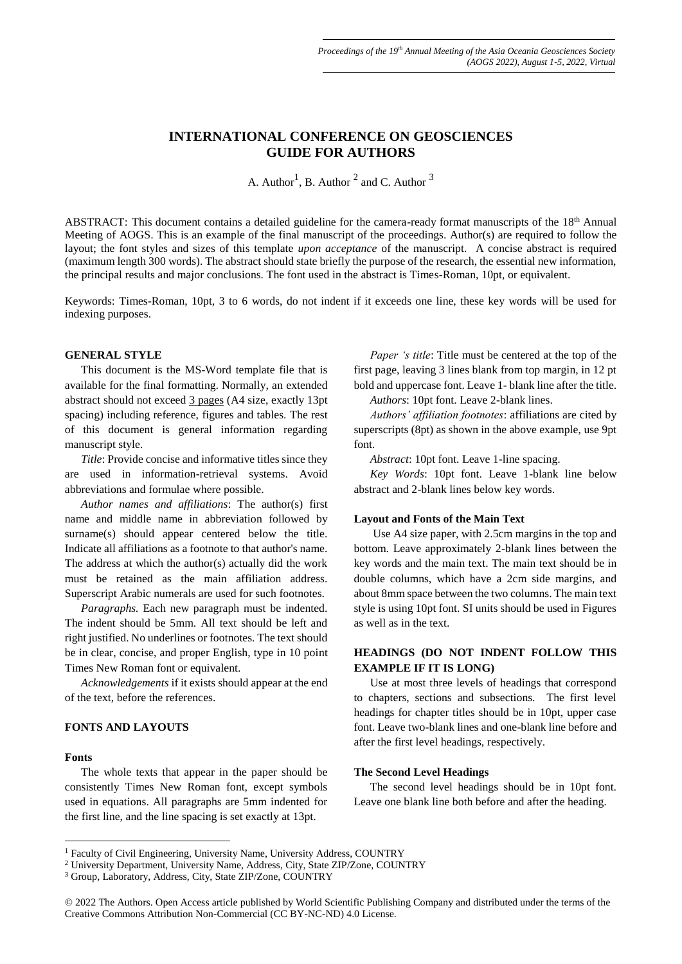# **INTERNATIONAL CONFERENCE ON GEOSCIENCES GUIDE FOR AUTHORS**

A. Author<sup>1</sup>, B. Author<sup>2</sup> and C. Author<sup>3</sup>

ABSTRACT: This document contains a detailed guideline for the camera-ready format manuscripts of the 18<sup>th</sup> Annual Meeting of AOGS. This is an example of the final manuscript of the proceedings. Author(s) are required to follow the layout; the font styles and sizes of this template *upon acceptance* of the manuscript. A concise abstract is required (maximum length 300 words). The abstract should state briefly the purpose of the research, the essential new information, the principal results and major conclusions. The font used in the abstract is Times-Roman, 10pt, or equivalent.

Keywords: Times-Roman, 10pt, 3 to 6 words, do not indent if it exceeds one line, these key words will be used for indexing purposes.

#### **GENERAL STYLE**

This document is the MS-Word template file that is available for the final formatting. Normally, an extended abstract should not exceed 3 pages (A4 size, exactly 13pt spacing) including reference, figures and tables. The rest of this document is general information regarding manuscript style.

*Title*: Provide concise and informative titles since they are used in information-retrieval systems. Avoid abbreviations and formulae where possible.

*Author names and affiliations*: The author(s) first name and middle name in abbreviation followed by surname(s) should appear centered below the title. Indicate all affiliations as a footnote to that author's name. The address at which the author(s) actually did the work must be retained as the main affiliation address. Superscript Arabic numerals are used for such footnotes.

*Paragraphs.* Each new paragraph must be indented. The indent should be 5mm. All text should be left and right justified. No underlines or footnotes. The text should be in clear, concise, and proper English, type in 10 point Times New Roman font or equivalent.

*Acknowledgements* if it exists should appear at the end of the text, before the references.

# **FONTS AND LAYOUTS**

#### **Fonts**

1

The whole texts that appear in the paper should be consistently Times New Roman font, except symbols used in equations. All paragraphs are 5mm indented for the first line, and the line spacing is set exactly at 13pt.

*Paper 's title*: Title must be centered at the top of the first page, leaving 3 lines blank from top margin, in 12 pt bold and uppercase font. Leave 1- blank line after the title.

*Authors*: 10pt font. Leave 2-blank lines.

*Authors' affiliation footnotes*: affiliations are cited by superscripts (8pt) as shown in the above example, use 9pt font.

*Abstract*: 10pt font. Leave 1-line spacing.

*Key Words*: 10pt font. Leave 1-blank line below abstract and 2-blank lines below key words.

### **Layout and Fonts of the Main Text**

Use A4 size paper, with 2.5cm margins in the top and bottom. Leave approximately 2-blank lines between the key words and the main text. The main text should be in double columns, which have a 2cm side margins, and about 8mm space between the two columns. The main text style is using 10pt font. SI units should be used in Figures as well as in the text.

# **HEADINGS (DO NOT INDENT FOLLOW THIS EXAMPLE IF IT IS LONG)**

Use at most three levels of headings that correspond to chapters, sections and subsections. The first level headings for chapter titles should be in 10pt, upper case font. Leave two-blank lines and one-blank line before and after the first level headings, respectively.

### **The Second Level Headings**

The second level headings should be in 10pt font. Leave one blank line both before and after the heading.

<sup>&</sup>lt;sup>1</sup> Faculty of Civil Engineering, University Name, University Address, COUNTRY

<sup>2</sup> University Department, University Name, Address, City, State ZIP/Zone, COUNTRY

<sup>3</sup> Group, Laboratory, Address, City, State ZIP/Zone, COUNTRY

<sup>© 2022</sup> The Authors. Open Access article published by World Scientific Publishing Company and distributed under the terms of the Creative Commons Attribution Non-Commercial (CC BY-NC-ND) 4.0 License.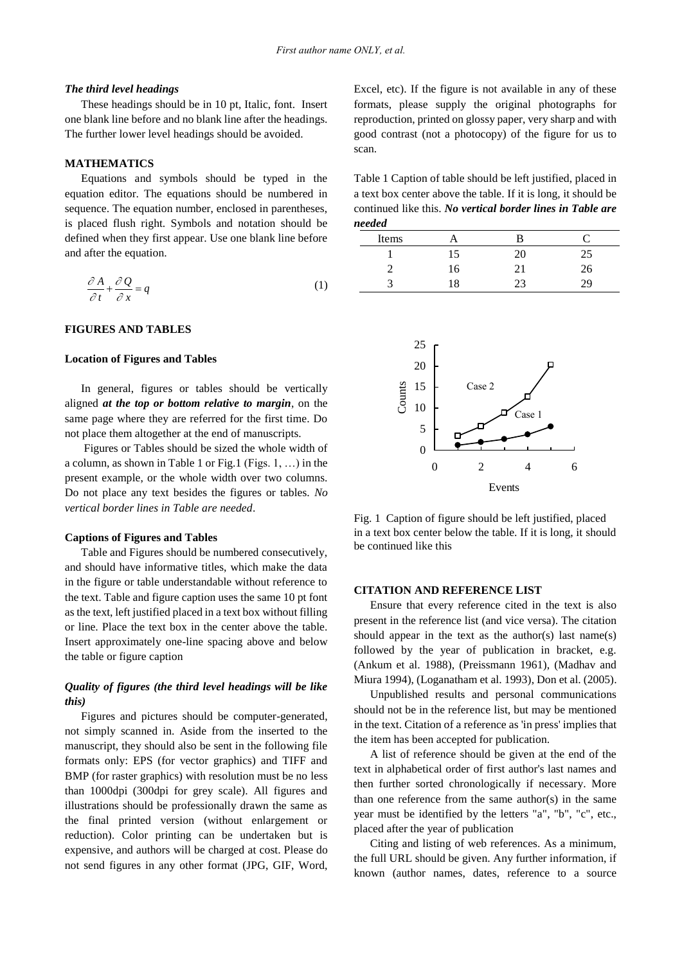#### *The third level headings*

These headings should be in 10 pt, Italic, font. Insert one blank line before and no blank line after the headings. The further lower level headings should be avoided.

### **MATHEMATICS**

Equations and symbols should be typed in the equation editor. The equations should be numbered in sequence. The equation number, enclosed in parentheses, is placed flush right. Symbols and notation should be defined when they first appear. Use one blank line before and after the equation.

$$
\frac{\partial A}{\partial t} + \frac{\partial Q}{\partial x} = q \tag{1}
$$

# **FIGURES AND TABLES**

#### **Location of Figures and Tables**

In general, figures or tables should be vertically aligned *at the top or bottom relative to margin*, on the same page where they are referred for the first time. Do not place them altogether at the end of manuscripts.

Figures or Tables should be sized the whole width of a column, as shown in Table 1 or Fig.1 (Figs. 1, …) in the present example, or the whole width over two columns. Do not place any text besides the figures or tables. *No vertical border lines in Table are needed*.

## **Captions of Figures and Tables**

Table and Figures should be numbered consecutively, and should have informative titles, which make the data in the figure or table understandable without reference to the text. Table and figure caption uses the same 10 pt font as the text, left justified placed in a text box without filling or line. Place the text box in the center above the table. Insert approximately one-line spacing above and below the table or figure caption

# *Quality of figures (the third level headings will be like this)*

Figures and pictures should be computer-generated, not simply scanned in. Aside from the inserted to the manuscript, they should also be sent in the following file formats only: EPS (for vector graphics) and TIFF and BMP (for raster graphics) with resolution must be no less than 1000dpi (300dpi for grey scale). All figures and illustrations should be professionally drawn the same as the final printed version (without enlargement or reduction). Color printing can be undertaken but is expensive, and authors will be charged at cost. Please do not send figures in any other format (JPG, GIF, Word,

Excel, etc). If the figure is not available in any of these formats, please supply the original photographs for reproduction, printed on glossy paper, very sharp and with good contrast (not a photocopy) of the figure for us to scan.

Table 1 Caption of table should be left justified, placed in a text box center above the table. If it is long, it should be continued like this. *No vertical border lines in Table are needed*

| .     |    |     |    |
|-------|----|-----|----|
| Items |    |     |    |
|       | 15 |     |    |
|       | 16 |     | 26 |
|       | 8  | າ ຈ |    |



Fig. 1 Caption of figure should be left justified, placed in a text box center below the table. If it is long, it should be continued like this

#### **CITATION AND REFERENCE LIST**

Ensure that every reference cited in the text is also present in the reference list (and vice versa). The citation should appear in the text as the author(s) last name(s) followed by the year of publication in bracket, e.g. (Ankum et al. 1988), (Preissmann 1961), (Madhav and Miura 1994), (Loganatham et al. 1993), Don et al. (2005).

Unpublished results and personal communications should not be in the reference list, but may be mentioned in the text. Citation of a reference as 'in press' implies that the item has been accepted for publication.

A list of reference should be given at the end of the text in alphabetical order of first author's last names and then further sorted chronologically if necessary. More than one reference from the same author(s) in the same year must be identified by the letters "a", "b", "c", etc., placed after the year of publication

Citing and listing of web references. As a minimum, the full URL should be given. Any further information, if known (author names, dates, reference to a source